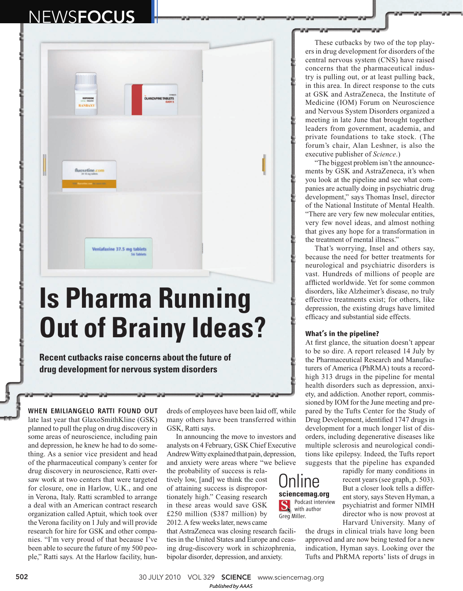## **NEWSFOCUS**

fluoxetine.com

Venlafaxine 37.5 mg tablets

# **Is Pharma Running Out of Brainy Ideas?**

**DLANZAPINE TABLETS** 

**Recent cutbacks raise concerns about the future of drug development for nervous system disorders**

WHEN EMILIANGELO RATTI FOUND OUT late last year that GlaxoSmithKline (GSK) planned to pull the plug on drug discovery in some areas of neuroscience, including pain and depression, he knew he had to do something. As a senior vice president and head of the pharmaceutical company's center for drug discovery in neuroscience, Ratti oversaw work at two centers that were targeted for closure, one in Harlow, U.K., and one in Verona, Italy. Ratti scrambled to arrange a deal with an American contract research organization called Aptuit, which took over the Verona facility on 1 July and will provide research for hire for GSK and other companies. "I'm very proud of that because I've been able to secure the future of my 500 people," Ratti says*.* At the Harlow facility, hundreds of employees have been laid off, while many others have been transferred within GSK, Ratti says.

In announcing the move to investors and analysts on 4 February, GSK Chief Executive Andrew Witty explained that pain, depression, and anxiety were areas where "we believe

the probability of success is relatively low, [and] we think the cost of attaining success is disproportionately high." Ceasing research in these areas would save GSK £250 million (\$387 million) by 2012. A few weeks later, news came

that AstraZeneca was closing research facilities in the United States and Europe and ceasing drug-discovery work in schizophrenia, bipolar disorder, depression, and anxiety.

These cutbacks by two of the top players in drug development for disorders of the central nervous system (CNS) have raised concerns that the pharmaceutical industry is pulling out, or at least pulling back, in this area. In direct response to the cuts at GSK and AstraZeneca, the Institute of Medicine (IOM) Forum on Neuroscience and Nervous System Disorders organized a meeting in late June that brought together leaders from government, academia, and private foundations to take stock. (The forum's chair, Alan Leshner, is also the executive publisher of *Science*.)

"The biggest problem isn't the announcements by GSK and AstraZeneca, it's when you look at the pipeline and see what companies are actually doing in psychiatric drug development," says Thomas Insel, director of the National Institute of Mental Health. "There are very few new molecular entities, very few novel ideas, and almost nothing that gives any hope for a transformation in the treatment of mental illness."

That's worrying, Insel and others say, because the need for better treatments for neurological and psychiatric disorders is vast. Hundreds of millions of people are afflicted worldwide. Yet for some common disorders, like Alzheimer's disease, no truly effective treatments exist; for others, like depression, the existing drugs have limited efficacy and substantial side effects.

#### **What's in the pipeline?**

Online **sciencemag.org** Podcast interview with author

Greg Miller.

At first glance, the situation doesn't appear to be so dire. A report released 14 July by the Pharmaceutical Research and Manufacturers of America (PhRMA) touts a recordhigh 313 drugs in the pipeline for mental health disorders such as depression, anxiety, and addiction. Another report, commissioned by IOM for the June meeting and prepared by the Tufts Center for the Study of Drug Development, identified 1747 drugs in development for a much longer list of disorders, including degenerative diseases like multiple sclerosis and neurological conditions like epilepsy. Indeed, the Tufts report suggests that the pipeline has expanded

rapidly for many conditions in recent years (see graph, p. 503). But a closer look tells a different story, says Steven Hyman, a psychiatrist and former NIMH director who is now provost at Harvard University. Many of

the drugs in clinical trials have long been approved and are now being tested for a new indication, Hyman says. Looking over the Tufts and PhRMA reports' lists of drugs in

502 30 JULY 2010 VOL 329 SCIENCE www.sciencemag.org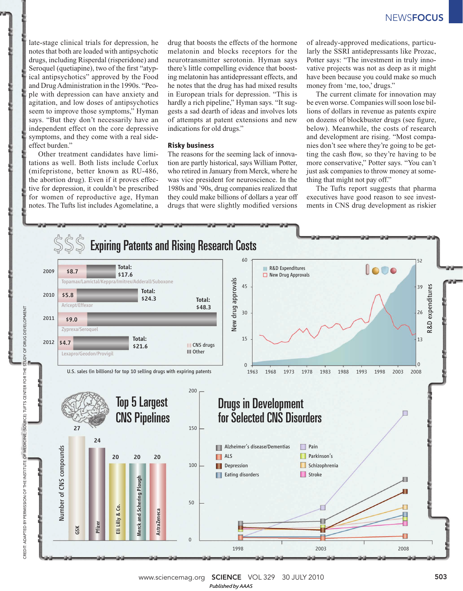late-stage clinical trials for depression, he notes that both are loaded with antipsychotic drugs, including Risperdal (risperidone) and Seroquel (quetiapine), two of the first "atypical antipsychotics" approved by the Food and Drug Administration in the 1990s. "People with depression can have anxiety and agitation, and low doses of antipsychotics seem to improve those symptoms," Hyman says. "But they don't necessarily have an independent effect on the core depressive symptoms, and they come with a real sideeffect burden."

Other treatment candidates have limitations as well. Both lists include Corlux (mifepristone, better known as RU-486, the abortion drug). Even if it proves effective for depression, it couldn't be prescribed for women of reproductive age, Hyman notes. The Tufts list includes Agomelatine, a

drug that boosts the effects of the hormone melatonin and blocks receptors for the neurotransmitter serotonin. Hyman says there's little compelling evidence that boosting melatonin has antidepressant effects, and he notes that the drug has had mixed results in European trials for depression. "This is hardly a rich pipeline," Hyman says. "It suggests a sad dearth of ideas and involves lots of attempts at patent extensions and new indications for old drugs."

#### **Risky business**

The reasons for the seeming lack of innovation are partly historical, says William Potter, who retired in January from Merck, where he was vice president for neuroscience. In the 1980s and '90s, drug companies realized that they could make billions of dollars a year off drugs that were slightly modified versions

of already-approved medications, particularly the SSRI antidepressants like Prozac, Potter says: "The investment in truly innovative projects was not as deep as it might have been because you could make so much money from 'me, too,' drugs."

The current climate for innovation may be even worse. Companies will soon lose billions of dollars in revenue as patents expire on dozens of blockbuster drugs (see figure, below). Meanwhile, the costs of research and development are rising. "Most companies don't see where they're going to be getting the cash flow, so they're having to be more conservative," Potter says. "You can't just ask companies to throw money at something that might not pay off."

The Tufts report suggests that pharma executives have good reason to see investments in CNS drug development as riskier



www.sciencemag.org **SCIENCE** VOL 329 30 JULY 2010